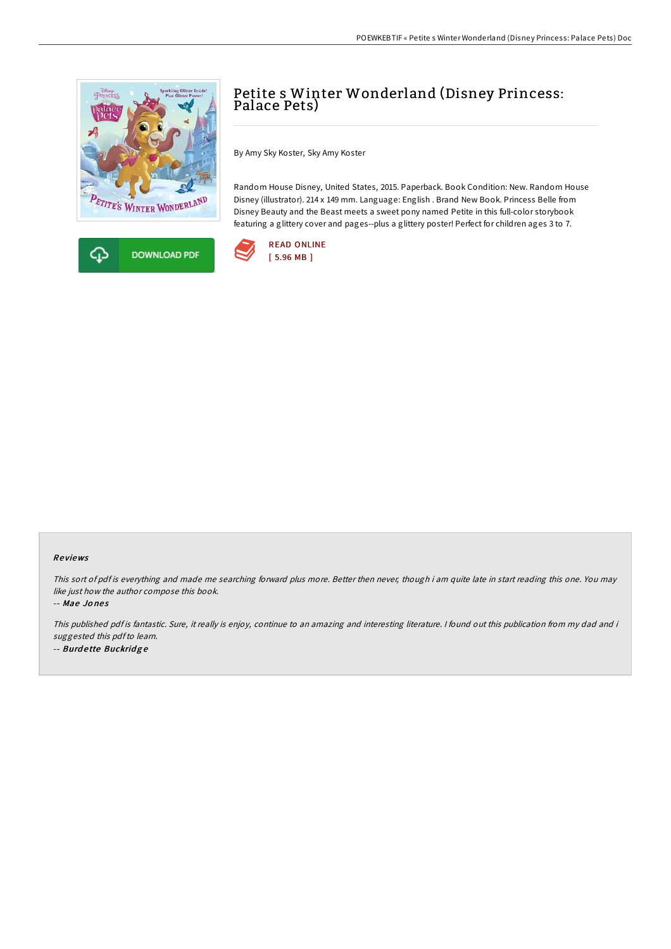



# Petite s Winter Wonderland (Disney Princess: Palace Pets)

By Amy Sky Koster, Sky Amy Koster

Random House Disney, United States, 2015. Paperback. Book Condition: New. Random House Disney (illustrator). 214 x 149 mm. Language: English . Brand New Book. Princess Belle from Disney Beauty and the Beast meets a sweet pony named Petite in this full-color storybook featuring a glittery cover and pages--plus a glittery poster! Perfect for children ages 3 to 7.



### Re views

This sort of pdf is everything and made me searching forward plus more. Better then never, though i am quite late in start reading this one. You may like just how the author compose this book.

-- Mae Jo ne s

This published pdf is fantastic. Sure, it really is enjoy, continue to an amazing and interesting literature. I found out this publication from my dad and i suggested this pdf to learn. -- Burdette Buckridge